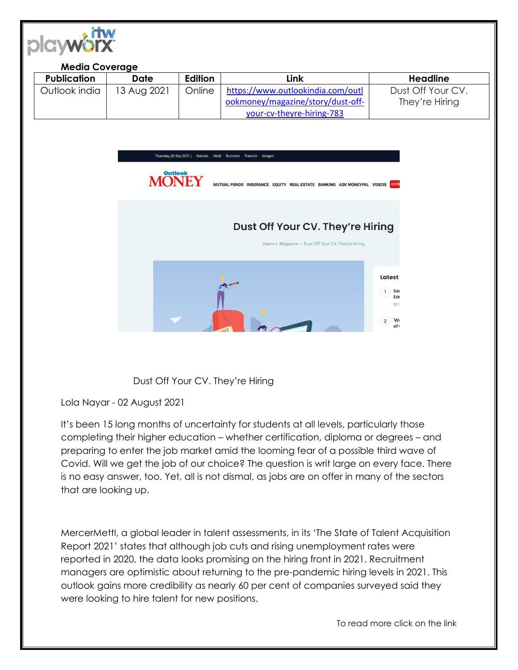

## **Media Coverage**

| <b>Publication</b> | <b>Date</b> | Edition | Link                              | Headline          |
|--------------------|-------------|---------|-----------------------------------|-------------------|
| Outlook india      | 13 Aug 2021 | Online  | https://www.outlookindia.com/outl | Dust Off Your CV. |
|                    |             |         | ookmoney/magazine/story/dust-off- | They're Hiring    |
|                    |             |         | your-cv-theyre-hiring-783         |                   |



Dust Off Your CV. They're Hiring

Lola Nayar - 02 August 2021

It's been 15 long months of uncertainty for students at all levels, particularly those completing their higher education – whether certification, diploma or degrees – and preparing to enter the job market amid the looming fear of a possible third wave of Covid. Will we get the job of our choice? The question is writ large on every face. There is no easy answer, too. Yet, all is not dismal, as jobs are on offer in many of the sectors that are looking up.

MercerMettl, a global leader in talent assessments, in its 'The State of Talent Acquisition Report 2021' states that although job cuts and rising unemployment rates were reported in 2020, the data looks promising on the hiring front in 2021. Recruitment managers are optimistic about returning to the pre-pandemic hiring levels in 2021. This outlook gains more credibility as nearly 60 per cent of companies surveyed said they were looking to hire talent for new positions.

To read more click on the link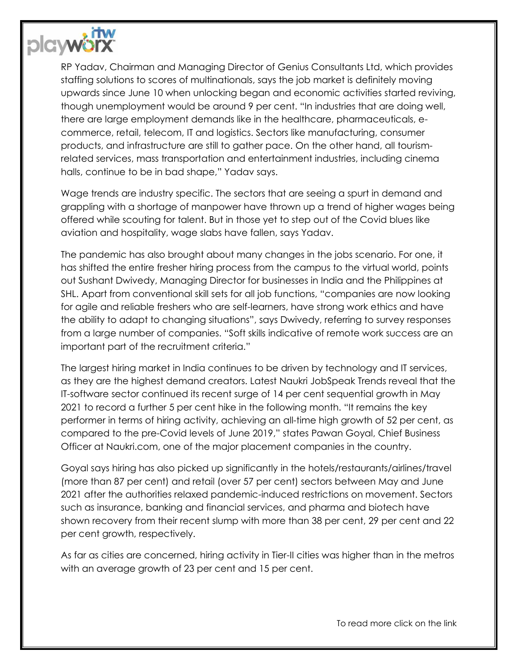

RP Yadav, Chairman and Managing Director of Genius Consultants Ltd, which provides staffing solutions to scores of multinationals, says the job market is definitely moving upwards since June 10 when unlocking began and economic activities started reviving, though unemployment would be around 9 per cent. "In industries that are doing well, there are large employment demands like in the healthcare, pharmaceuticals, ecommerce, retail, telecom, IT and logistics. Sectors like manufacturing, consumer products, and infrastructure are still to gather pace. On the other hand, all tourismrelated services, mass transportation and entertainment industries, including cinema halls, continue to be in bad shape," Yadav says.

Wage trends are industry specific. The sectors that are seeing a spurt in demand and grappling with a shortage of manpower have thrown up a trend of higher wages being offered while scouting for talent. But in those yet to step out of the Covid blues like aviation and hospitality, wage slabs have fallen, says Yadav.

The pandemic has also brought about many changes in the jobs scenario. For one, it has shifted the entire fresher hiring process from the campus to the virtual world, points out Sushant Dwivedy, Managing Director for businesses in India and the Philippines at SHL. Apart from conventional skill sets for all job functions, "companies are now looking for agile and reliable freshers who are self-learners, have strong work ethics and have the ability to adapt to changing situations", says Dwivedy, referring to survey responses from a large number of companies. "Soft skills indicative of remote work success are an important part of the recruitment criteria."

The largest hiring market in India continues to be driven by technology and IT services, as they are the highest demand creators. Latest Naukri JobSpeak Trends reveal that the IT-software sector continued its recent surge of 14 per cent sequential growth in May 2021 to record a further 5 per cent hike in the following month. "It remains the key performer in terms of hiring activity, achieving an all-time high growth of 52 per cent, as compared to the pre-Covid levels of June 2019," states Pawan Goyal, Chief Business Officer at Naukri.com, one of the major placement companies in the country.

Goyal says hiring has also picked up significantly in the hotels/restaurants/airlines/travel (more than 87 per cent) and retail (over 57 per cent) sectors between May and June 2021 after the authorities relaxed pandemic-induced restrictions on movement. Sectors such as insurance, banking and financial services, and pharma and biotech have shown recovery from their recent slump with more than 38 per cent, 29 per cent and 22 per cent growth, respectively.

As far as cities are concerned, hiring activity in Tier-II cities was higher than in the metros with an average growth of 23 per cent and 15 per cent.

To read more click on the link